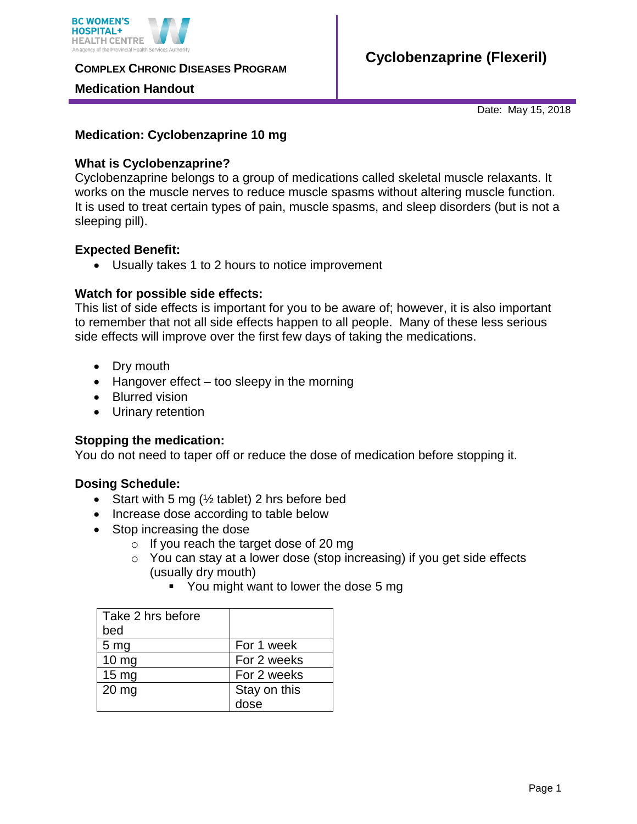

**COMPLEX CHRONIC DISEASES PROGRAM** 

#### **Medication Handout**

Date: May 15, 2018

### **Medication: Cyclobenzaprine 10 mg**

#### **What is Cyclobenzaprine?**

Cyclobenzaprine belongs to a group of medications called skeletal muscle relaxants. It works on the muscle nerves to reduce muscle spasms without altering muscle function. It is used to treat certain types of pain, muscle spasms, and sleep disorders (but is not a sleeping pill).

#### **Expected Benefit:**

Usually takes 1 to 2 hours to notice improvement

#### **Watch for possible side effects:**

This list of side effects is important for you to be aware of; however, it is also important to remember that not all side effects happen to all people. Many of these less serious side effects will improve over the first few days of taking the medications.

- Dry mouth
- $\bullet$  Hangover effect too sleepy in the morning
- Blurred vision
- Urinary retention

## **Stopping the medication:**

You do not need to taper off or reduce the dose of medication before stopping it.

#### **Dosing Schedule:**

- Start with 5 mg ( $\frac{1}{2}$  tablet) 2 hrs before bed
- Increase dose according to table below
- Stop increasing the dose
	- o If you reach the target dose of 20 mg
		- o You can stay at a lower dose (stop increasing) if you get side effects (usually dry mouth)
			- You might want to lower the dose 5 mg

| Take 2 hrs before |              |
|-------------------|--------------|
| bed               |              |
| 5 <sub>mg</sub>   | For 1 week   |
| $10 \text{ mg}$   | For 2 weeks  |
| $15 \text{ mg}$   | For 2 weeks  |
| $20$ mg           | Stay on this |
|                   | dose         |